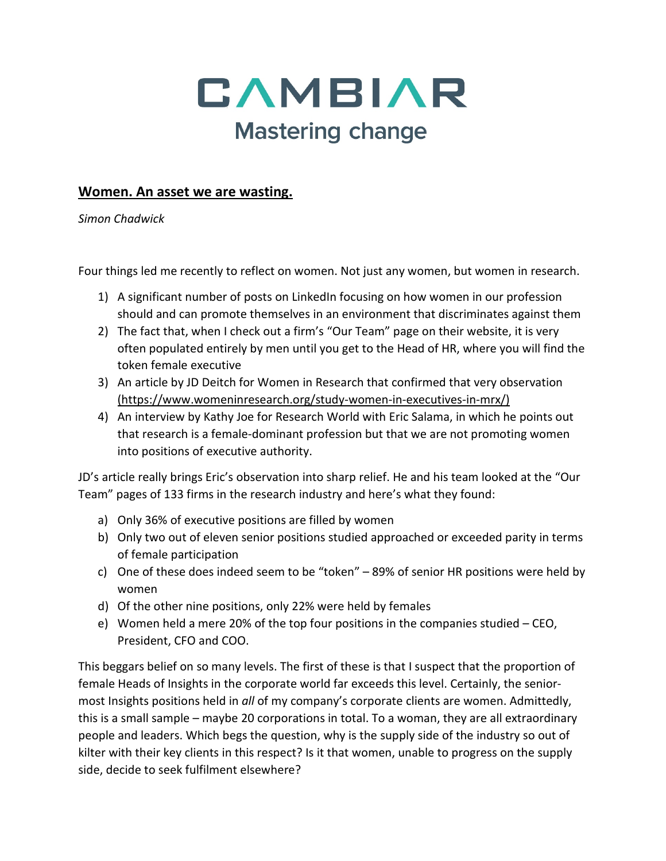

## **Women. An asset we are wasting.**

*Simon Chadwick*

Four things led me recently to reflect on women. Not just any women, but women in research.

- 1) A significant number of posts on LinkedIn focusing on how women in our profession should and can promote themselves in an environment that discriminates against them
- 2) The fact that, when I check out a firm's "Our Team" page on their website, it is very often populated entirely by men until you get to the Head of HR, where you will find the token female executive
- 3) An article by JD Deitch for Women in Research that confirmed that very observation (https://www.womeninresearch.org/study-women-in-executives-in-mrx/)
- 4) An interview by Kathy Joe for Research World with Eric Salama, in which he points out that research is a female-dominant profession but that we are not promoting women into positions of executive authority.

JD's article really brings Eric's observation into sharp relief. He and his team looked at the "Our Team" pages of 133 firms in the research industry and here's what they found:

- a) Only 36% of executive positions are filled by women
- b) Only two out of eleven senior positions studied approached or exceeded parity in terms of female participation
- c) One of these does indeed seem to be "token" 89% of senior HR positions were held by women
- d) Of the other nine positions, only 22% were held by females
- e) Women held a mere 20% of the top four positions in the companies studied CEO, President, CFO and COO.

This beggars belief on so many levels. The first of these is that I suspect that the proportion of female Heads of Insights in the corporate world far exceeds this level. Certainly, the seniormost Insights positions held in *all* of my company's corporate clients are women. Admittedly, this is a small sample – maybe 20 corporations in total. To a woman, they are all extraordinary people and leaders. Which begs the question, why is the supply side of the industry so out of kilter with their key clients in this respect? Is it that women, unable to progress on the supply side, decide to seek fulfilment elsewhere?